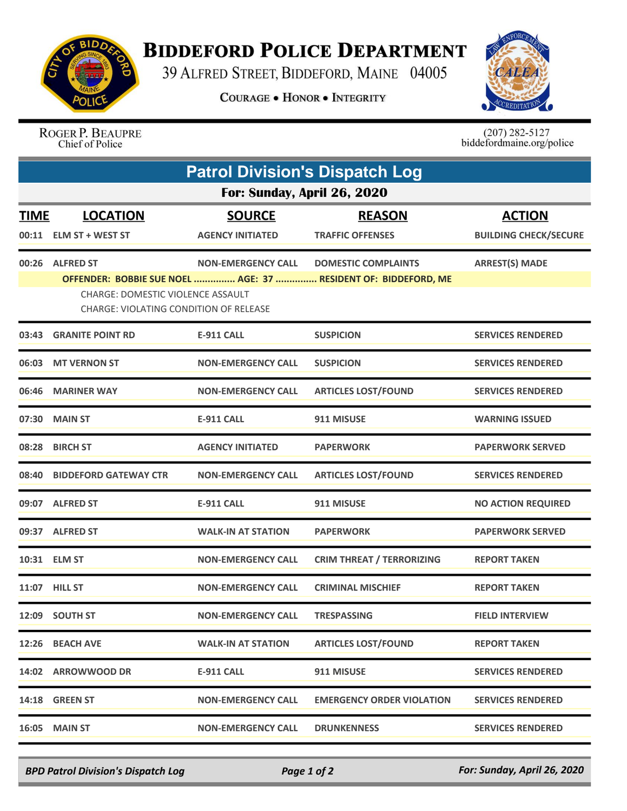

## **BIDDEFORD POLICE DEPARTMENT**

39 ALFRED STREET, BIDDEFORD, MAINE 04005

**COURAGE . HONOR . INTEGRITY** 



## ROGER P. BEAUPRE Chief of Police

 $(207)$  282-5127<br>biddefordmaine.org/police

|                             | <b>Patrol Division's Dispatch Log</b>                                              |                           |                                                                |                              |  |  |  |  |
|-----------------------------|------------------------------------------------------------------------------------|---------------------------|----------------------------------------------------------------|------------------------------|--|--|--|--|
| For: Sunday, April 26, 2020 |                                                                                    |                           |                                                                |                              |  |  |  |  |
| <b>TIME</b>                 | <b>LOCATION</b>                                                                    | <b>SOURCE</b>             | <b>REASON</b>                                                  | <b>ACTION</b>                |  |  |  |  |
| 00:11                       | <b>ELM ST + WEST ST</b>                                                            | <b>AGENCY INITIATED</b>   | <b>TRAFFIC OFFENSES</b>                                        | <b>BUILDING CHECK/SECURE</b> |  |  |  |  |
| 00:26                       | <b>ALFRED ST</b>                                                                   | <b>NON-EMERGENCY CALL</b> | <b>DOMESTIC COMPLAINTS</b>                                     | <b>ARREST(S) MADE</b>        |  |  |  |  |
|                             | CHARGE: DOMESTIC VIOLENCE ASSAULT<br><b>CHARGE: VIOLATING CONDITION OF RELEASE</b> |                           | OFFENDER: BOBBIE SUE NOEL  AGE: 37  RESIDENT OF: BIDDEFORD, ME |                              |  |  |  |  |
| 03:43                       | <b>GRANITE POINT RD</b>                                                            | <b>E-911 CALL</b>         | <b>SUSPICION</b>                                               | <b>SERVICES RENDERED</b>     |  |  |  |  |
|                             | 06:03 MT VERNON ST                                                                 | <b>NON-EMERGENCY CALL</b> | <b>SUSPICION</b>                                               | <b>SERVICES RENDERED</b>     |  |  |  |  |
| 06:46                       | <b>MARINER WAY</b>                                                                 | <b>NON-EMERGENCY CALL</b> | <b>ARTICLES LOST/FOUND</b>                                     | <b>SERVICES RENDERED</b>     |  |  |  |  |
| 07:30                       | <b>MAIN ST</b>                                                                     | <b>E-911 CALL</b>         | 911 MISUSE                                                     | <b>WARNING ISSUED</b>        |  |  |  |  |
| 08:28                       | <b>BIRCH ST</b>                                                                    | <b>AGENCY INITIATED</b>   | <b>PAPERWORK</b>                                               | <b>PAPERWORK SERVED</b>      |  |  |  |  |
| 08:40                       | <b>BIDDEFORD GATEWAY CTR</b>                                                       | <b>NON-EMERGENCY CALL</b> | <b>ARTICLES LOST/FOUND</b>                                     | <b>SERVICES RENDERED</b>     |  |  |  |  |
|                             | 09:07 ALFRED ST                                                                    | <b>E-911 CALL</b>         | 911 MISUSE                                                     | <b>NO ACTION REQUIRED</b>    |  |  |  |  |
|                             | 09:37 ALFRED ST                                                                    | <b>WALK-IN AT STATION</b> | <b>PAPERWORK</b>                                               | <b>PAPERWORK SERVED</b>      |  |  |  |  |
|                             | 10:31 ELM ST                                                                       | <b>NON-EMERGENCY CALL</b> | <b>CRIM THREAT / TERRORIZING</b>                               | <b>REPORT TAKEN</b>          |  |  |  |  |
|                             | 11:07 HILL ST                                                                      | <b>NON-EMERGENCY CALL</b> | <b>CRIMINAL MISCHIEF</b>                                       | <b>REPORT TAKEN</b>          |  |  |  |  |
| 12:09                       | <b>SOUTH ST</b>                                                                    | <b>NON-EMERGENCY CALL</b> | <b>TRESPASSING</b>                                             | <b>FIELD INTERVIEW</b>       |  |  |  |  |
| 12:26                       | <b>BEACH AVE</b>                                                                   | <b>WALK-IN AT STATION</b> | <b>ARTICLES LOST/FOUND</b>                                     | <b>REPORT TAKEN</b>          |  |  |  |  |
|                             | 14:02 ARROWWOOD DR                                                                 | <b>E-911 CALL</b>         | 911 MISUSE                                                     | <b>SERVICES RENDERED</b>     |  |  |  |  |
|                             | 14:18 GREEN ST                                                                     | <b>NON-EMERGENCY CALL</b> | <b>EMERGENCY ORDER VIOLATION</b>                               | <b>SERVICES RENDERED</b>     |  |  |  |  |
|                             | <b>16:05 MAIN ST</b>                                                               | <b>NON-EMERGENCY CALL</b> | <b>DRUNKENNESS</b>                                             | <b>SERVICES RENDERED</b>     |  |  |  |  |

*BPD Patrol Division's Dispatch Log Page 1 of 2 For: Sunday, April 26, 2020*